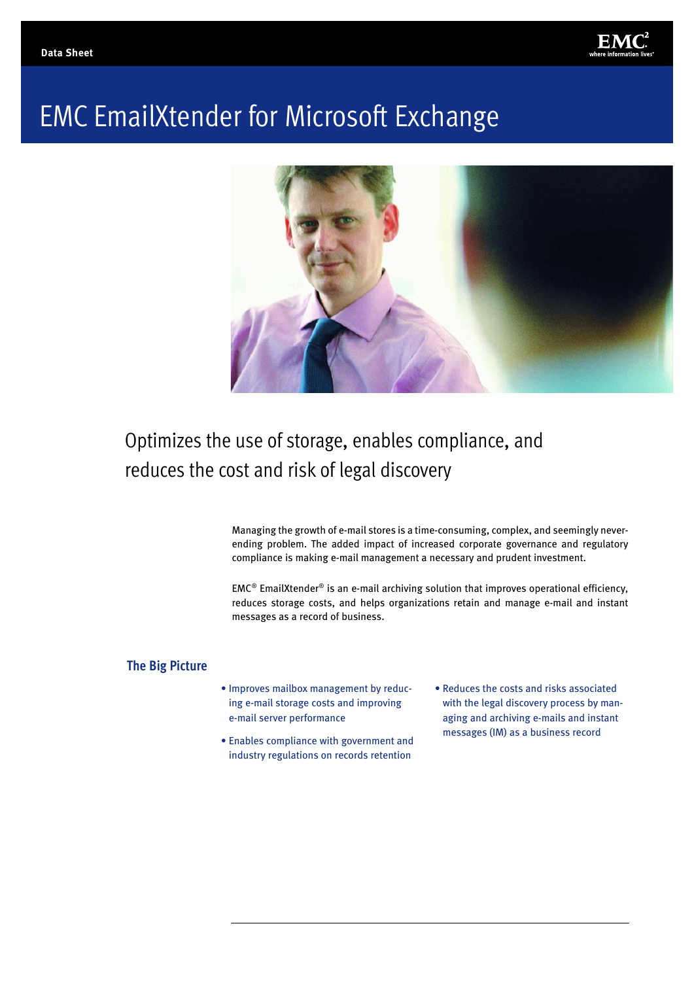

# EMC EmailXtender for Microsoft Exchange



## Optimizes the use of storage, enables compliance, and reduces the cost and risk of legal discovery

Managing the growth of e-mail stores is a time-consuming, complex, and seemingly neverending problem. The added impact of increased corporate governance and regulatory compliance is making e-mail management a necessary and prudent investment.

 $EMC<sup>®</sup>$  EmailXtender<sup>®</sup> is an e-mail archiving solution that improves operational efficiency, reduces storage costs, and helps organizations retain and manage e-mail and instant messages as a record of business.

#### **The Big Picture**

- Improves mailbox management by reducing e-mail storage costs and improving e-mail server performance
- Enables compliance with government and industry regulations on records retention
- Reduces the costs and risks associated with the legal discovery process by managing and archiving e-mails and instant messages (IM) as a business record